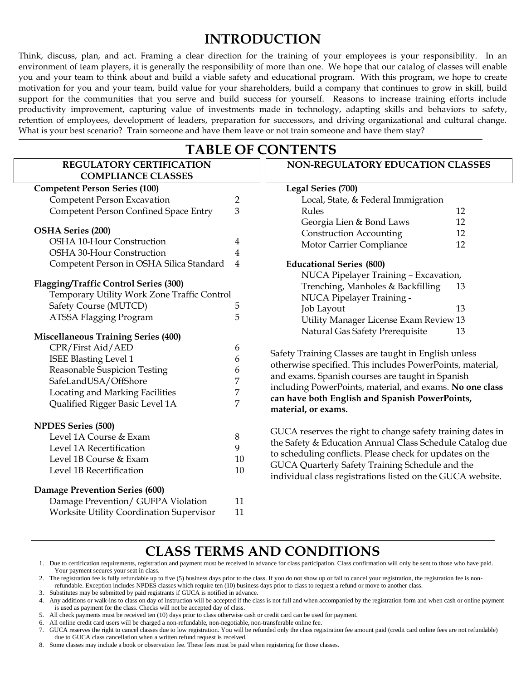# **INTRODUCTION**

Think, discuss, plan, and act. Framing a clear direction for the training of your employees is your responsibility. In an environment of team players, it is generally the responsibility of more than one. We hope that our catalog of classes will enable you and your team to think about and build a viable safety and educational program. With this program, we hope to create motivation for you and your team, build value for your shareholders, build a company that continues to grow in skill, build support for the communities that you serve and build success for yourself. Reasons to increase training efforts include productivity improvement, capturing value of investments made in technology, adapting skills and behaviors to safety, retention of employees, development of leaders, preparation for successors, and driving organizational and cultural change. What is your best scenario? Train someone and have them leave or not train someone and have them stay?

### **TABLE OF CONTENTS REGULATORY CERTIFICATION COMPLIANCE CLASSES Competent Person Series (100)** Competent Person Excavation 2 Competent Person Confined Space Entry 3 **OSHA Series (200)** OSHA 10-Hour Construction 4 OSHA 30-Hour Construction 4 Competent Person in OSHA Silica Standard 4 **Flagging/Traffic Control Series (300)** Temporary Utility Work Zone Traffic Control Safety Course (MUTCD) 5 ATSSA Flagging Program 5 **Miscellaneous Training Series (400)** CPR/First Aid/AED 6 ISEE Blasting Level 1 6 Reasonable Suspicion Testing 6 SafeLandUSA/OffShore 7<br>Locating and Marking Facilities 7 Locating and Marking Facilities Qualified Rigger Basic Level 1A 7 **NPDES Series (500)** Level 1A Course & Exam 8 Level 1A Recertification 9 Level 1B Course & Exam 10 Level 1B Recertification 10 **Damage Prevention Series (600)** Damage Prevention/ GUFPA Violation 11 Worksite Utility Coordination Supervisor 11 **NON-REGULATORY EDUCATION CLASSES Legal Series (700)** Local, State, & Federal Immigration Rules 12 Georgia Lien & Bond Laws 12 Construction Accounting 12 Motor Carrier Compliance 12 **Educational Series (800)** NUCA Pipelayer Training – Excavation, Trenching, Manholes & Backfilling 13 NUCA Pipelayer Training - Job Layout 13 Utility Manager License Exam Review 13 Natural Gas Safety Prerequisite 13 Safety Training Classes are taught in English unless otherwise specified. This includes PowerPoints, material, and exams. Spanish courses are taught in Spanish including PowerPoints, material, and exams. **No one class can have both English and Spanish PowerPoints, material, or exams.** GUCA reserves the right to change safety training dates in the Safety & Education Annual Class Schedule Catalog due to scheduling conflicts. Please check for updates on the GUCA Quarterly Safety Training Schedule and the individual class registrations listed on the GUCA website.

# **CLASS TERMS AND CONDITIONS**

1. Due to certification requirements, registration and payment must be received in advance for class participation. Class confirmation will only be sent to those who have paid. Your payment secures your seat in class.

2. The registration fee is fully refundable up to five (5) business days prior to the class. If you do not show up or fail to cancel your registration, the registration fee is nonrefundable. Exception includes NPDES classes which require ten (10) business days prior to class to request a refund or move to another class.

3. Substitutes may be submitted by paid registrants if GUCA is notified in advance.

4. Any additions or walk-ins to class on day of instruction will be accepted if the class is not full and when accompanied by the registration form and when cash or online payment is used as payment for the class. Checks will not be accepted day of class.

- 5. All check payments must be received ten (10) days prior to class otherwise cash or credit card can be used for payment.
- 6. All online credit card users will be charged a non-refundable, non-negotiable, non-transferable online fee.

8. Some classes may include a book or observation fee. These fees must be paid when registering for those classes.

<sup>7.</sup> GUCA reserves the right to cancel classes due to low registration. You will be refunded only the class registration fee amount paid (credit card online fees are not refundable) due to GUCA class cancellation when a written refund request is received.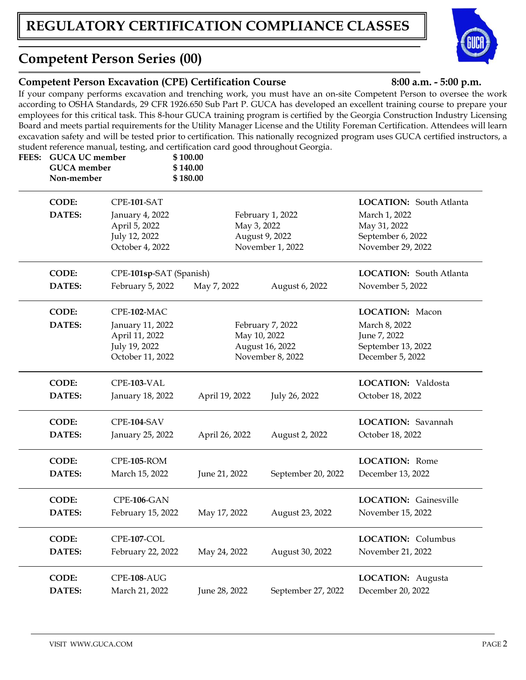# **Competent Person Series (00)**

**FEES: GUCA UC member \$ 100.00**

## **Competent Person Excavation (CPE) Certification Course 8:00 a.m. - 5:00 p.m.**

If your company performs excavation and trenching work, you must have an on-site Competent Person to oversee the work according to OSHA Standards, 29 CFR 1926.650 Sub Part P. GUCA has developed an excellent training course to prepare your employees for this critical task. This 8-hour GUCA training program is certified by the Georgia Construction Industry Licensing Board and meets partial requirements for the Utility Manager License and the Utility Foreman Certification. Attendees will learn excavation safety and will be tested prior to certification. This nationally recognized program uses GUCA certified instructors, a student reference manual, testing, and certification card good throughout Georgia.

| <b>GUCA</b> member<br>Non-member |                                                                                        | \$140.00<br>\$180.00 |                                                         |                                                                                                           |
|----------------------------------|----------------------------------------------------------------------------------------|----------------------|---------------------------------------------------------|-----------------------------------------------------------------------------------------------------------|
| <b>CODE:</b><br><b>DATES:</b>    | CPE-101-SAT<br>January 4, 2022<br>April 5, 2022<br>July 12, 2022<br>October 4, 2022    | May 3, 2022          | February 1, 2022<br>August 9, 2022<br>November 1, 2022  | <b>LOCATION:</b> South Atlanta<br>March 1, 2022<br>May 31, 2022<br>September 6, 2022<br>November 29, 2022 |
| <b>CODE:</b><br>DATES:           | CPE-101sp-SAT (Spanish)<br>February 5, 2022                                            | May 7, 2022          | August 6, 2022                                          | <b>LOCATION:</b> South Atlanta<br>November 5, 2022                                                        |
| <b>CODE:</b><br>DATES:           | CPE-102-MAC<br>January 11, 2022<br>April 11, 2022<br>July 19, 2022<br>October 11, 2022 | May 10, 2022         | February 7, 2022<br>August 16, 2022<br>November 8, 2022 | LOCATION: Macon<br>March 8, 2022<br>June 7, 2022<br>September 13, 2022<br>December 5, 2022                |
| <b>CODE:</b><br>DATES:           | CPE-103-VAL<br>January 18, 2022                                                        | April 19, 2022       | July 26, 2022                                           | <b>LOCATION:</b> Valdosta<br>October 18, 2022                                                             |
| <b>CODE:</b><br>DATES:           | CPE-104-SAV<br>January 25, 2022                                                        | April 26, 2022       | August 2, 2022                                          | LOCATION: Savannah<br>October 18, 2022                                                                    |
| <b>CODE:</b><br><b>DATES:</b>    | CPE-105-ROM<br>March 15, 2022                                                          | June 21, 2022        | September 20, 2022                                      | <b>LOCATION:</b> Rome<br>December 13, 2022                                                                |
| <b>CODE:</b><br>DATES:           | CPE-106-GAN<br>February 15, 2022                                                       | May 17, 2022         | August 23, 2022                                         | <b>LOCATION:</b> Gainesville<br>November 15, 2022                                                         |
| <b>CODE:</b><br>DATES:           | CPE-107-COL<br>February 22, 2022                                                       | May 24, 2022         | August 30, 2022                                         | <b>LOCATION:</b> Columbus<br>November 21, 2022                                                            |
| <b>CODE:</b><br><b>DATES:</b>    | CPE-108-AUG<br>March 21, 2022                                                          | June 28, 2022        | September 27, 2022                                      | LOCATION: Augusta<br>December 20, 2022                                                                    |

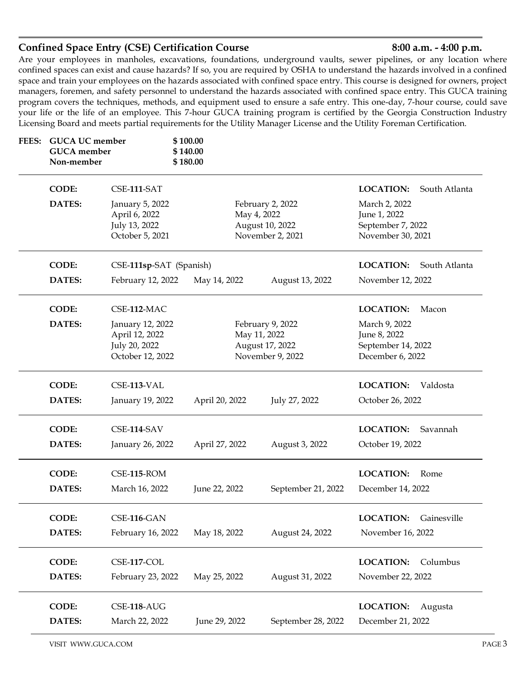### **Confined Space Entry (CSE) Certification Course 8:00 a.m. - 4:00 p.m.**

Are your employees in manholes, excavations, foundations, underground vaults, sewer pipelines, or any location where confined spaces can exist and cause hazards? If so, you are required by OSHA to understand the hazards involved in a confined space and train your employees on the hazards associated with confined space entry. This course is designed for owners, project managers, foremen, and safety personnel to understand the hazards associated with confined space entry. This GUCA training program covers the techniques, methods, and equipment used to ensure a safe entry. This one-day, 7-hour course, could save your life or the life of an employee. This 7-hour GUCA training program is certified by the Georgia Construction Industry Licensing Board and meets partial requirements for the Utility Manager License and the Utility Foreman Certification.

| FEES: | <b>GUCA UC member</b><br><b>GUCA</b> member<br>Non-member |                                                                         | \$100.00<br>\$140.00<br>\$180.00 |                                                                         |                                                                         |               |
|-------|-----------------------------------------------------------|-------------------------------------------------------------------------|----------------------------------|-------------------------------------------------------------------------|-------------------------------------------------------------------------|---------------|
|       | <b>CODE:</b>                                              | CSE-111-SAT                                                             |                                  |                                                                         | <b>LOCATION:</b>                                                        | South Atlanta |
|       | <b>DATES:</b>                                             | January 5, 2022<br>April 6, 2022<br>July 13, 2022<br>October 5, 2021    |                                  | February 2, 2022<br>May 4, 2022<br>August 10, 2022<br>November 2, 2021  | March 2, 2022<br>June 1, 2022<br>September 7, 2022<br>November 30, 2021 |               |
|       | <b>CODE:</b>                                              | CSE-111sp-SAT (Spanish)                                                 |                                  |                                                                         | <b>LOCATION:</b>                                                        | South Atlanta |
|       | <b>DATES:</b>                                             | February 12, 2022                                                       | May 14, 2022                     | August 13, 2022                                                         | November 12, 2022                                                       |               |
|       | <b>CODE:</b>                                              | CSE-112-MAC                                                             |                                  |                                                                         | <b>LOCATION:</b>                                                        | Macon         |
|       | DATES:                                                    | January 12, 2022<br>April 12, 2022<br>July 20, 2022<br>October 12, 2022 |                                  | February 9, 2022<br>May 11, 2022<br>August 17, 2022<br>November 9, 2022 | March 9, 2022<br>June 8, 2022<br>September 14, 2022<br>December 6, 2022 |               |
|       | <b>CODE:</b>                                              | CSE-113-VAL                                                             |                                  |                                                                         | <b>LOCATION:</b>                                                        | Valdosta      |
|       | <b>DATES:</b>                                             | January 19, 2022                                                        | April 20, 2022                   | July 27, 2022                                                           | October 26, 2022                                                        |               |
|       | <b>CODE:</b>                                              | CSE-114-SAV                                                             |                                  |                                                                         | <b>LOCATION:</b>                                                        | Savannah      |
|       | <b>DATES:</b>                                             | January 26, 2022                                                        | April 27, 2022                   | August 3, 2022                                                          | October 19, 2022                                                        |               |
|       | <b>CODE:</b>                                              | $CSE-115$ -ROM                                                          |                                  |                                                                         | <b>LOCATION:</b>                                                        | Rome          |
|       | <b>DATES:</b>                                             | March 16, 2022                                                          | June 22, 2022                    | September 21, 2022                                                      | December 14, 2022                                                       |               |
|       | <b>CODE:</b>                                              | CSE-116-GAN                                                             |                                  |                                                                         | LOCATION:                                                               | Gainesville   |
|       | DATES:                                                    | February 16, 2022                                                       | May 18, 2022                     | August 24, 2022                                                         | November 16, 2022                                                       |               |
|       | <b>CODE:</b>                                              | CSE-117-COL                                                             |                                  |                                                                         | <b>LOCATION:</b>                                                        | Columbus      |
|       | DATES:                                                    | February 23, 2022                                                       | May 25, 2022                     | August 31, 2022                                                         | November 22, 2022                                                       |               |
|       | <b>CODE:</b>                                              | CSE-118-AUG                                                             |                                  |                                                                         | <b>LOCATION:</b>                                                        | Augusta       |
|       | DATES:                                                    | March 22, 2022                                                          | June 29, 2022                    | September 28, 2022                                                      | December 21, 2022                                                       |               |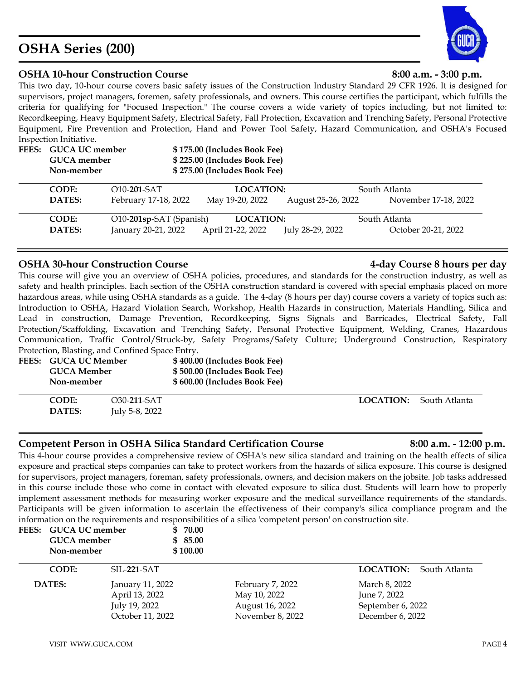### VISIT WWW.GUCA.COM PAGE 4

# **OSHA Series (200)**

### **OSHA 10-hour Construction Course 8:00 a.m. - 3:00 p.m.**

This two day, 10-hour course covers basic safety issues of the Construction Industry Standard 29 CFR 1926. It is designed for supervisors, project managers, foremen, safety professionals, and owners. This course certifies the participant, which fulfills the criteria for qualifying for "Focused Inspection." The course covers a wide variety of topics including, but not limited to: Recordkeeping, Heavy Equipment Safety, Electrical Safety, Fall Protection, Excavation and Trenching Safety, Personal Protective Equipment, Fire Prevention and Protection, Hand and Power Tool Safety, Hazard Communication, and OSHA's Focused Inspection Initiative.

**DATES:** February 17-18, 2022 May 19-20, 2022 August 25-26, 2022 November 17-18, 2022

**CODE:** O10-**201**-SAT **LOCATION:** South Atlanta

| <b>CODE:</b>  | O10-201sp-SAT (Spanish) | <b>LOCATION:</b>  |                  | South Atlanta |
|---------------|-------------------------|-------------------|------------------|---------------|
| <b>DATES:</b> | January 20-21, 2022     | April 21-22, 2022 | July 28-29, 2022 | Octob         |
|               |                         |                   |                  |               |
|               |                         |                   |                  |               |

**FEES: GUCA UC member \$ 175.00 (Includes Book Fee)**

**GUCA member \$ 225.00 (Includes Book Fee) Non-member \$ 275.00 (Includes Book Fee)**

## **OSHA 30-hour Construction Course 4-day Course 8 hours per day**

This course will give you an overview of OSHA policies, procedures, and standards for the construction industry, as well as safety and health principles. Each section of the OSHA construction standard is covered with special emphasis placed on more hazardous areas, while using OSHA standards as a guide. The 4-day (8 hours per day) course covers a variety of topics such as: Introduction to OSHA, Hazard Violation Search, Workshop, Health Hazards in construction, Materials Handling, Silica and Lead in construction, Damage Prevention, Recordkeeping, Signs Signals and Barricades, Electrical Safety, Fall Protection/Scaffolding, Excavation and Trenching Safety, Personal Protective Equipment, Welding, Cranes, Hazardous Communication, Traffic Control/Struck-by, Safety Programs/Safety Culture; Underground Construction, Respiratory Protection, Blasting, and Confined Space Entry.

| FEES: GUCA UC Member<br><b>GUCA Member</b><br>Non-member |                | \$400.00 (Includes Book Fee)<br>\$500.00 (Includes Book Fee)<br>\$600.00 (Includes Book Fee) |                                |
|----------------------------------------------------------|----------------|----------------------------------------------------------------------------------------------|--------------------------------|
| <b>CODE:</b>                                             | O30-211-SAT    |                                                                                              | <b>LOCATION:</b> South Atlanta |
| <b>DATES:</b>                                            | July 5-8, 2022 |                                                                                              |                                |

## **Competent Person in OSHA Silica Standard Certification Course 8:00 a.m. - 12:00 p.m.**

This 4-hour course provides a comprehensive review of OSHA's new silica standard and training on the health effects of silica exposure and practical steps companies can take to protect workers from the hazards of silica exposure. This course is designed for supervisors, project managers, foreman, safety professionals, owners, and decision makers on the jobsite. Job tasks addressed in this course include those who come in contact with elevated exposure to silica dust. Students will learn how to properly implement assessment methods for measuring worker exposure and the medical surveillance requirements of the standards. Participants will be given information to ascertain the effectiveness of their company's silica compliance program and the information on the requirements and responsibilities of a silica 'competent person' on construction site.

| FEES: GUCA UC member | <b>GUCA</b> member<br>Non-member                                        | \$70.00<br>\$85.00<br>\$100.00 |                                                                         |                                                                        |
|----------------------|-------------------------------------------------------------------------|--------------------------------|-------------------------------------------------------------------------|------------------------------------------------------------------------|
| <b>CODE:</b>         | SIL-221-SAT                                                             |                                |                                                                         | <b>LOCATION:</b><br>South Atlanta                                      |
| DATES:               | January 11, 2022<br>April 13, 2022<br>July 19, 2022<br>October 11, 2022 |                                | February 7, 2022<br>May 10, 2022<br>August 16, 2022<br>November 8, 2022 | March 8, 2022<br>June 7, 2022<br>September 6, 2022<br>December 6, 2022 |

## July 28-29, 2022 **October 20-21, 2022**



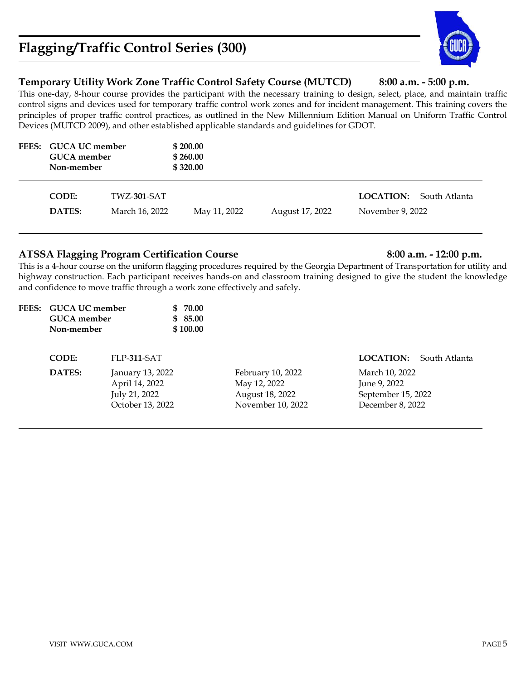# **Flagging/Traffic Control Series (300)**

### **Temporary Utility Work Zone Traffic Control Safety Course (MUTCD) 8:00 a.m. - 5:00 p.m.**

This one-day, 8-hour course provides the participant with the necessary training to design, select, place, and maintain traffic control signs and devices used for temporary traffic control work zones and for incident management. This training covers the principles of proper traffic control practices, as outlined in the New Millennium Edition Manual on Uniform Traffic Control Devices (MUTCD 2009), and other established applicable standards and guidelines for GDOT.

| FEES: GUCA UC member<br><b>GUCA</b> member<br>Non-member       |  | \$200.00<br>\$260.00<br>\$320.00 |                 |                                      |               |
|----------------------------------------------------------------|--|----------------------------------|-----------------|--------------------------------------|---------------|
| <b>CODE:</b><br><b>TWZ-301-SAT</b><br>DATES:<br>March 16, 2022 |  | May 11, 2022                     | August 17, 2022 | <b>LOCATION:</b><br>November 9, 2022 | South Atlanta |

### **ATSSA Flagging Program Certification Course 8:00 a.m. - 12:00 p.m.**

This is a 4-hour course on the uniform flagging procedures required by the Georgia Department of Transportation for utility and highway construction. Each participant receives hands-on and classroom training designed to give the student the knowledge and confidence to move traffic through a work zone effectively and safely.

| FEES: GUCA UC member | \$ 70.00 |
|----------------------|----------|
| GUCA member          | \$ 85.00 |
| Non-member           | \$100.00 |

| <b>CODE:</b>  | FLP-311-SAT      |                   | <b>LOCATION:</b> South Atlanta |
|---------------|------------------|-------------------|--------------------------------|
| <b>DATES:</b> | January 13, 2022 | February 10, 2022 | March 10, 2022                 |
|               | April 14, 2022   | May 12, 2022      | June 9, 2022                   |
|               | July 21, 2022    | August 18, 2022   | September 15, 2022             |
|               | October 13, 2022 | November 10, 2022 | December 8, 2022               |

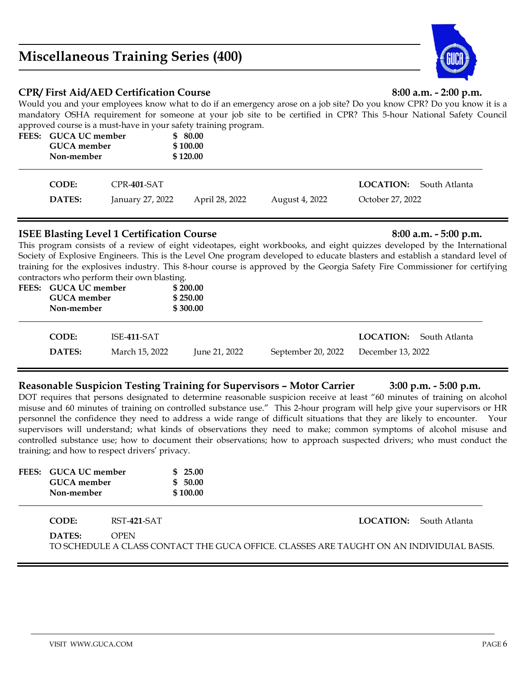# **Miscellaneous Training Series (400)**

### **CPR/ First Aid/AED Certification Course 8:00 a.m. - 2:00 p.m.**

Would you and your employees know what to do if an emergency arose on a job site? Do you know CPR? Do you know it is a mandatory OSHA requirement for someone at your job site to be certified in CPR? This 5-hour National Safety Council approved course is a must-have in your safety training program.

| FEES: GUCA UC member<br><b>GUCA</b> member<br>Non-member |                  | \$80.00<br>\$100.00<br>\$120.00 |                |                |                                |  |
|----------------------------------------------------------|------------------|---------------------------------|----------------|----------------|--------------------------------|--|
| <b>CODE:</b>                                             | $CPR-401-SAT$    |                                 |                |                | <b>LOCATION:</b> South Atlanta |  |
| <b>DATES:</b>                                            | January 27, 2022 |                                 | April 28, 2022 | August 4, 2022 | October 27, 2022               |  |

### **ISEE Blasting Level 1 Certification Course 8:00 a.m.** - 5:00 p.m.

This program consists of a review of eight videotapes, eight workbooks, and eight quizzes developed by the International Society of Explosive Engineers. This is the Level One program developed to educate blasters and establish a standard level of training for the explosives industry. This 8-hour course is approved by the Georgia Safety Fire Commissioner for certifying contractors who perform their own blasting.

| $\alpha$<br>FEES: GUCA UC member<br><b>GUCA</b> member<br>Non-member |                | \$200.00<br>\$250.00<br>\$300.00 |                    |                                |
|----------------------------------------------------------------------|----------------|----------------------------------|--------------------|--------------------------------|
| <b>CODE:</b>                                                         | ISE-411-SAT    |                                  |                    | <b>LOCATION:</b> South Atlanta |
| <b>DATES:</b>                                                        | March 15, 2022 | June 21, 2022                    | September 20, 2022 | December 13, 2022              |

### **Reasonable Suspicion Testing Training for Supervisors – Motor Carrier 3:00 p.m. - 5:00 p.m.**

DOT requires that persons designated to determine reasonable suspicion receive at least "60 minutes of training on alcohol misuse and 60 minutes of training on controlled substance use." This 2-hour program will help give your supervisors or HR personnel the confidence they need to address a wide range of difficult situations that they are likely to encounter. Your supervisors will understand; what kinds of observations they need to make; common symptoms of alcohol misuse and controlled substance use; how to document their observations; how to approach suspected drivers; who must conduct the training; and how to respect drivers' privacy.

| FEES: GUCA UC member<br><b>GUCA</b> member<br>Non-member |                                                                                                         | \$25.00<br>\$50.00<br>\$100.00 |  |  |  |                                |  |
|----------------------------------------------------------|---------------------------------------------------------------------------------------------------------|--------------------------------|--|--|--|--------------------------------|--|
| CODE:                                                    | RST-421-SAT                                                                                             |                                |  |  |  | <b>LOCATION:</b> South Atlanta |  |
| DATES:                                                   | <b>OPEN</b><br>TO SCHEDULE A CLASS CONTACT THE GUCA OFFICE. CLASSES ARE TAUGHT ON AN INDIVIDUIAL BASIS. |                                |  |  |  |                                |  |

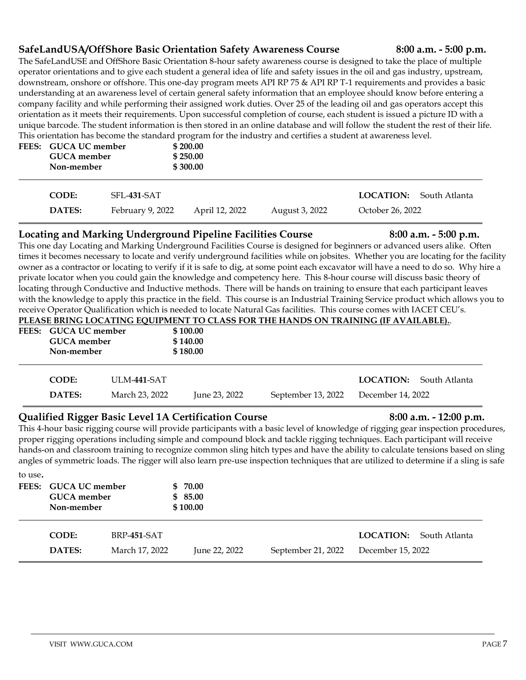### **SafeLandUSA/OffShore Basic Orientation Safety Awareness Course 8:00 a.m. - 5:00 p.m.**

The SafeLandUSE and OffShore Basic Orientation 8-hour safety awareness course is designed to take the place of multiple operator orientations and to give each student a general idea of life and safety issues in the oil and gas industry, upstream, downstream, onshore or offshore. This one-day program meets API RP 75 & API RP T-1 requirements and provides a basic understanding at an awareness level of certain general safety information that an employee should know before entering a company facility and while performing their assigned work duties. Over 25 of the leading oil and gas operators accept this orientation as it meets their requirements. Upon successful completion of course, each student is issued a picture ID with a unique barcode. The student information is then stored in an online database and will follow the student the rest of their life. This orientation has become the standard program for the industry and certifies a student at awareness level.

| FEES: GUCA UC member<br><b>GUCA</b> member<br>Non-member |                    | $\sqrt{ }$<br>\$200.00<br>\$250.00<br>\$300.00 |                |                  |               |
|----------------------------------------------------------|--------------------|------------------------------------------------|----------------|------------------|---------------|
| <b>CODE:</b>                                             | <b>SFL-431-SAT</b> |                                                |                | <b>LOCATION:</b> | South Atlanta |
| <b>DATES:</b>                                            | February 9, 2022   | April 12, 2022                                 | August 3, 2022 | October 26, 2022 |               |

### **Locating and Marking Underground Pipeline Facilities Course 8:00 a.m. - 5:00 p.m.**

This one day Locating and Marking Underground Facilities Course is designed for beginners or advanced users alike. Often times it becomes necessary to locate and verify underground facilities while on jobsites. Whether you are locating for the facility owner as a contractor or locating to verify if it is safe to dig, at some point each excavator will have a need to do so. Why hire a private locator when you could gain the knowledge and competency here. This 8-hour course will discuss basic theory of locating through Conductive and Inductive methods. There will be hands on training to ensure that each participant leaves with the knowledge to apply this practice in the field. This course is an Industrial Training Service product which allows you to receive Operator Qualification which is needed to locate Natural Gas facilities. This course comes with IACET CEU's. **PLEASE BRING LOCATING EQUIPMENT TO CLASS FOR THE HANDS ON TRAINING (IF AVAILABLE).**.

|                      |                    |               | TLEASE DIMING LOCATING EQUITMENT TO CLASS FOR THE HANDS ON TRAINING (IF AVAILADLE) |                   |               |  |
|----------------------|--------------------|---------------|------------------------------------------------------------------------------------|-------------------|---------------|--|
| FEES: GUCA UC member |                    | \$100.00      |                                                                                    |                   |               |  |
| <b>GUCA</b> member   |                    | \$140.00      |                                                                                    |                   |               |  |
| Non-member           |                    | \$180.00      |                                                                                    |                   |               |  |
|                      |                    |               |                                                                                    |                   |               |  |
| <b>CODE:</b>         | <b>ULM-441-SAT</b> |               |                                                                                    | <b>LOCATION:</b>  | South Atlanta |  |
| DATES:               | March 23, 2022     | June 23, 2022 | September 13, 2022                                                                 | December 14, 2022 |               |  |

### **Qualified Rigger Basic Level 1A Certification Course 8:00 a.m. - 12:00 p.m.**

This 4-hour basic rigging course will provide participants with a basic level of knowledge of rigging gear inspection procedures, proper rigging operations including simple and compound block and tackle rigging techniques. Each participant will receive hands-on and classroom training to recognize common sling hitch types and have the ability to calculate tensions based on sling angles of symmetric loads. The rigger will also learn pre-use inspection techniques that are utilized to determine if a sling is safe

| to use. | FEES: GUCA UC member<br><b>GUCA</b> member<br>Non-member |                               | \$70.00<br>\$85.00<br>\$100.00 |                    |                                                     |
|---------|----------------------------------------------------------|-------------------------------|--------------------------------|--------------------|-----------------------------------------------------|
|         | <b>CODE:</b><br>DATES:                                   | BRP-451-SAT<br>March 17, 2022 | June 22, 2022                  | September 21, 2022 | <b>LOCATION:</b> South Atlanta<br>December 15, 2022 |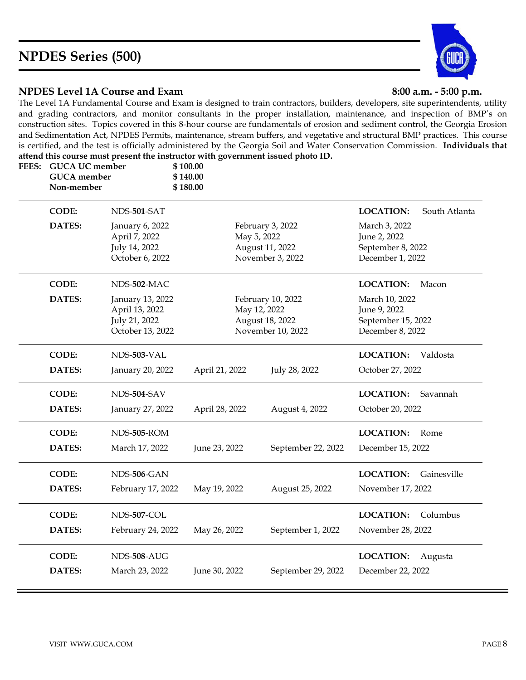# **NPDES Series (500)**



### **NPDES Level 1A Course and Exam 8:00 a.m. - 5:00 p.m.**

The Level 1A Fundamental Course and Exam is designed to train contractors, builders, developers, site superintendents, utility and grading contractors, and monitor consultants in the proper installation, maintenance, and inspection of BMP's on construction sites. Topics covered in this 8-hour course are fundamentals of erosion and sediment control, the Georgia Erosion and Sedimentation Act, NPDES Permits, maintenance, stream buffers, and vegetative and structural BMP practices. This course is certified, and the test is officially administered by the Georgia Soil and Water Conservation Commission. **Individuals that attend this course must present the instructor with government issued photo ID.**

| FEES: GUCA UC member<br><b>GUCA</b> member<br>Non-member |                                                                         | \$100.00<br>\$140.00<br>\$180.00 |              |                                                           |                                                                          |               |
|----------------------------------------------------------|-------------------------------------------------------------------------|----------------------------------|--------------|-----------------------------------------------------------|--------------------------------------------------------------------------|---------------|
| <b>CODE:</b>                                             | NDS-501-SAT                                                             |                                  |              |                                                           | <b>LOCATION:</b>                                                         | South Atlanta |
| DATES:                                                   | January 6, 2022<br>April 7, 2022<br>July 14, 2022<br>October 6, 2022    |                                  | May 5, 2022  | February 3, 2022<br>August 11, 2022<br>November 3, 2022   | March 3, 2022<br>June 2, 2022<br>September 8, 2022<br>December 1, 2022   |               |
| <b>CODE:</b>                                             | NDS-502-MAC                                                             |                                  |              |                                                           | <b>LOCATION:</b>                                                         | Macon         |
| <b>DATES:</b>                                            | January 13, 2022<br>April 13, 2022<br>July 21, 2022<br>October 13, 2022 |                                  | May 12, 2022 | February 10, 2022<br>August 18, 2022<br>November 10, 2022 | March 10, 2022<br>June 9, 2022<br>September 15, 2022<br>December 8, 2022 |               |
| <b>CODE:</b>                                             | NDS-503-VAL                                                             |                                  |              |                                                           | <b>LOCATION:</b>                                                         | Valdosta      |
| DATES:                                                   | January 20, 2022                                                        | April 21, 2022                   |              | July 28, 2022                                             | October 27, 2022                                                         |               |
| <b>CODE:</b>                                             | NDS-504-SAV                                                             |                                  |              |                                                           | <b>LOCATION:</b>                                                         | Savannah      |
| DATES:                                                   | January 27, 2022                                                        | April 28, 2022                   |              | August 4, 2022                                            | October 20, 2022                                                         |               |
| <b>CODE:</b>                                             | NDS-505-ROM                                                             |                                  |              |                                                           | <b>LOCATION:</b>                                                         | Rome          |
| <b>DATES:</b>                                            | March 17, 2022                                                          | June 23, 2022                    |              | September 22, 2022                                        | December 15, 2022                                                        |               |
| <b>CODE:</b>                                             | NDS-506-GAN                                                             |                                  |              |                                                           | <b>LOCATION:</b>                                                         | Gainesville   |
| <b>DATES:</b>                                            | February 17, 2022                                                       | May 19, 2022                     |              | August 25, 2022                                           | November 17, 2022                                                        |               |
| <b>CODE:</b>                                             | NDS-507-COL                                                             |                                  |              |                                                           | <b>LOCATION:</b>                                                         | Columbus      |
| DATES:                                                   | February 24, 2022                                                       | May 26, 2022                     |              | September 1, 2022                                         | November 28, 2022                                                        |               |
| <b>CODE:</b><br><b>DATES:</b>                            | NDS-508-AUG<br>March 23, 2022                                           | June 30, 2022                    |              | September 29, 2022                                        | <b>LOCATION:</b><br>December 22, 2022                                    | Augusta       |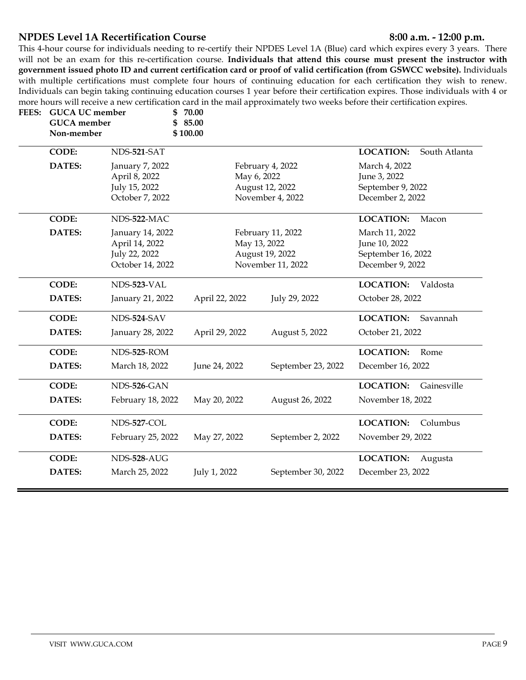### **NPDES Level 1A Recertification Course 6:00 a.m. -12:00 p.m.**

This 4-hour course for individuals needing to re-certify their NPDES Level 1A (Blue) card which expires every 3 years. There will not be an exam for this re-certification course. **Individuals that attend this course must present the instructor with government issued photo ID and current certification card or proof of valid certification (from GSWCC website).** Individuals with multiple certifications must complete four hours of continuing education for each certification they wish to renew. Individuals can begin taking continuing education courses 1 year before their certification expires. Those individuals with 4 or more hours will receive a new certification card in the mail approximately two weeks before their certification expires.<br>EEES: CUCA UC member \$ 70.00

| FEES: | <b>GUCA UC</b> member<br><b>GUCA</b> member<br>Non-member |                                                                         | 70.00<br>85.00<br>\$<br>\$100.00 |                                 |                                        |                                                                           |               |
|-------|-----------------------------------------------------------|-------------------------------------------------------------------------|----------------------------------|---------------------------------|----------------------------------------|---------------------------------------------------------------------------|---------------|
|       | <b>CODE:</b>                                              | NDS-521-SAT                                                             |                                  |                                 |                                        | <b>LOCATION:</b>                                                          | South Atlanta |
|       | DATES:                                                    | January 7, 2022<br>April 8, 2022<br>July 15, 2022<br>October 7, 2022    |                                  | May 6, 2022<br>August 12, 2022  | February 4, 2022<br>November 4, 2022   | March 4, 2022<br>June 3, 2022<br>September 9, 2022<br>December 2, 2022    |               |
|       | <b>CODE:</b>                                              | NDS-522-MAC                                                             |                                  |                                 |                                        | <b>LOCATION:</b>                                                          | Macon         |
|       | DATES:                                                    | January 14, 2022<br>April 14, 2022<br>July 22, 2022<br>October 14, 2022 |                                  | May 13, 2022<br>August 19, 2022 | February 11, 2022<br>November 11, 2022 | March 11, 2022<br>June 10, 2022<br>September 16, 2022<br>December 9, 2022 |               |
|       | <b>CODE:</b>                                              | NDS-523-VAL                                                             |                                  |                                 |                                        | <b>LOCATION:</b>                                                          | Valdosta      |
|       | DATES:                                                    | January 21, 2022                                                        | April 22, 2022                   |                                 | July 29, 2022                          | October 28, 2022                                                          |               |
|       | <b>CODE:</b>                                              | NDS-524-SAV                                                             |                                  |                                 |                                        | <b>LOCATION:</b>                                                          | Savannah      |
|       | DATES:                                                    | January 28, 2022                                                        | April 29, 2022                   |                                 | August 5, 2022                         | October 21, 2022                                                          |               |
|       | <b>CODE:</b>                                              | NDS-525-ROM                                                             |                                  |                                 |                                        | <b>LOCATION:</b>                                                          | Rome          |
|       | DATES:                                                    | March 18, 2022                                                          | June 24, 2022                    |                                 | September 23, 2022                     | December 16, 2022                                                         |               |
|       | <b>CODE:</b>                                              | NDS-526-GAN                                                             |                                  |                                 |                                        | <b>LOCATION:</b>                                                          | Gainesville   |
|       | DATES:                                                    | February 18, 2022                                                       | May 20, 2022                     |                                 | August 26, 2022                        | November 18, 2022                                                         |               |
|       | <b>CODE:</b>                                              | NDS-527-COL                                                             |                                  |                                 |                                        | <b>LOCATION:</b>                                                          | Columbus      |
|       | DATES:                                                    | February 25, 2022                                                       | May 27, 2022                     |                                 | September 2, 2022                      | November 29, 2022                                                         |               |
|       | <b>CODE:</b>                                              | NDS-528-AUG                                                             |                                  |                                 |                                        | <b>LOCATION:</b>                                                          | Augusta       |
|       | DATES:                                                    | March 25, 2022                                                          | July 1, 2022                     |                                 | September 30, 2022                     | December 23, 2022                                                         |               |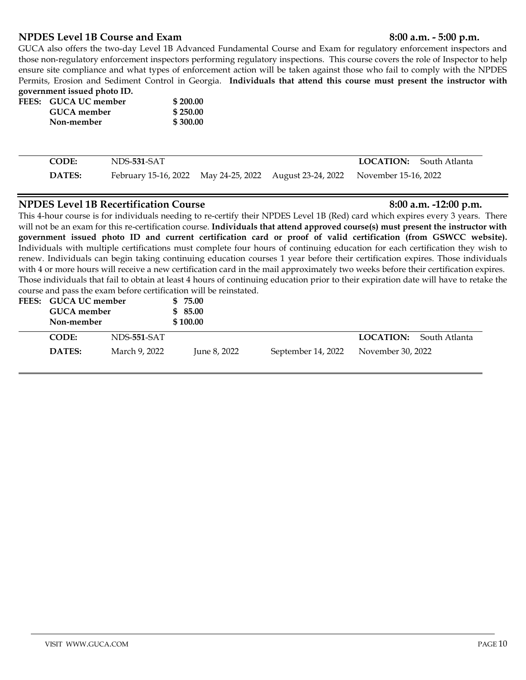### **NPDES Level 1B Course and Exam 8:00 a.m. - 5:00 p.m.**

### GUCA also offers the two-day Level 1B Advanced Fundamental Course and Exam for regulatory enforcement inspectors and those non-regulatory enforcement inspectors performing regulatory inspections. This course covers the role of Inspector to help ensure site compliance and what types of enforcement action will be taken against those who fail to comply with the NPDES Permits, Erosion and Sediment Control in Georgia. **Individuals that attend this course must present the instructor with government issued photo ID.**

|             | \$200.00             |
|-------------|----------------------|
| GUCA member | \$250.00             |
| Non-member  | \$300.00             |
|             | FEES: GUCA UC member |

| <b>CODE:</b>  | NDS-531-SAT                                                                  |  | <b>LOCATION:</b> South Atlanta |
|---------------|------------------------------------------------------------------------------|--|--------------------------------|
| <b>DATES:</b> | February 15-16, 2022 May 24-25, 2022 August 23-24, 2022 November 15-16, 2022 |  |                                |

### **NPDES** Level 1B Recertification Course 8:00 a.m. **-12:00 p.m.**

This 4-hour course is for individuals needing to re-certify their NPDES Level 1B (Red) card which expires every 3 years. There will not be an exam for this re-certification course. **Individuals that attend approved course(s) must present the instructor with government issued photo ID and current certification card or proof of valid certification (from GSWCC website).** Individuals with multiple certifications must complete four hours of continuing education for each certification they wish to renew. Individuals can begin taking continuing education courses 1 year before their certification expires. Those individuals with 4 or more hours will receive a new certification card in the mail approximately two weeks before their certification expires. Those individuals that fail to obtain at least 4 hours of continuing education prior to their expiration date will have to retake the course and pass the exam before certification will be reinstated.

| FEES: GUCA UC member<br><b>GUCA</b> member<br>Non-member |               | \$75.00<br>\$85.00<br>\$100.00 |                    |                                |
|----------------------------------------------------------|---------------|--------------------------------|--------------------|--------------------------------|
| CODE:                                                    | NDS-551-SAT   |                                |                    | <b>LOCATION:</b> South Atlanta |
| DATES:                                                   | March 9, 2022 | June 8, 2022                   | September 14, 2022 | November 30, 2022              |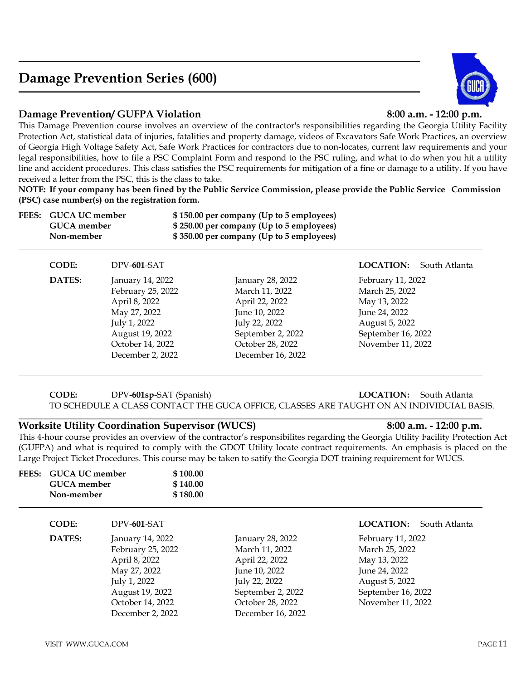# **Damage Prevention Series (600)**

### **Damage Prevention/ GUFPA Violation 8:00 a.m. - 12:00 p.m.**

This Damage Prevention course involves an overview of the contractor's responsibilities regarding the Georgia Utility Facility Protection Act, statistical data of injuries, fatalities and property damage, videos of Excavators Safe Work Practices, an overview of Georgia High Voltage Safety Act, Safe Work Practices for contractors due to non-locates, current law requirements and your legal responsibilities, how to file a PSC Complaint Form and respond to the PSC ruling, and what to do when you hit a utility line and accident procedures. This class satisfies the PSC requirements for mitigation of a fine or damage to a utility. If you have received a letter from the PSC, this is the class to take.

**NOTE: If your company has been fined by the Public Service Commission, please provide the Public Service Commission (PSC) case number(s) on the registration form.**

| FEES: | <b>GUCA UC member</b><br><b>GUCA</b> member<br>Non-member |                   | \$150.00 per company (Up to 5 employees)<br>\$250.00 per company (Up to 5 employees)<br>\$350.00 per company (Up to 5 employees) |                    |               |
|-------|-----------------------------------------------------------|-------------------|----------------------------------------------------------------------------------------------------------------------------------|--------------------|---------------|
|       | <b>CODE:</b>                                              | DPV-601-SAT       |                                                                                                                                  | <b>LOCATION:</b>   | South Atlanta |
|       | DATES:                                                    | January 14, 2022  | January 28, 2022                                                                                                                 | February 11, 2022  |               |
|       |                                                           | February 25, 2022 | March 11, 2022                                                                                                                   | March 25, 2022     |               |
|       |                                                           | April 8, 2022     | April 22, 2022                                                                                                                   | May 13, 2022       |               |
|       |                                                           | May 27, 2022      | June 10, 2022                                                                                                                    | June 24, 2022      |               |
|       |                                                           | July 1, 2022      | July 22, 2022                                                                                                                    | August 5, 2022     |               |
|       |                                                           | August 19, 2022   | September 2, 2022                                                                                                                | September 16, 2022 |               |
|       |                                                           | October 14, 2022  | October 28, 2022                                                                                                                 | November 11, 2022  |               |
|       |                                                           | December 2, 2022  | December 16, 2022                                                                                                                |                    |               |

### **CODE:** DPV-**601sp**-SAT (Spanish) **LOCATION:** South Atlanta TO SCHEDULE A CLASS CONTACT THE GUCA OFFICE, CLASSES ARE TAUGHT ON AN INDIVIDUIAL BASIS.

### **Worksite Utility Coordination Supervisor (WUCS) 8:00 a.m. - 12:00 p.m.**

This 4-hour course provides an overview of the contractor's responsibilites regarding the Georgia Utility Facility Protection Act (GUFPA) and what is required to comply with the GDOT Utility locate contract requirements. An emphasis is placed on the Large Project Ticket Procedures. This course may be taken to satify the Georgia DOT training requirement for WUCS.

| FEES: | <b>GUCA UC member</b><br><b>GUCA</b> member<br>Non-member |                                                                                                                                                   | \$100.00<br>\$140.00<br>\$180.00 |                                                                                                                                                      |                                                                                                                                   |
|-------|-----------------------------------------------------------|---------------------------------------------------------------------------------------------------------------------------------------------------|----------------------------------|------------------------------------------------------------------------------------------------------------------------------------------------------|-----------------------------------------------------------------------------------------------------------------------------------|
|       | <b>CODE:</b>                                              | DPV-601-SAT                                                                                                                                       |                                  |                                                                                                                                                      | <b>LOCATION:</b><br>South Atlanta                                                                                                 |
|       | DATES:                                                    | January 14, 2022<br>February 25, 2022<br>April 8, 2022<br>May 27, 2022<br>July 1, 2022<br>August 19, 2022<br>October 14, 2022<br>December 2, 2022 |                                  | January 28, 2022<br>March 11, 2022<br>April 22, 2022<br>June 10, 2022<br>July 22, 2022<br>September 2, 2022<br>October 28, 2022<br>December 16, 2022 | February 11, 2022<br>March 25, 2022<br>May 13, 2022<br>June 24, 2022<br>August 5, 2022<br>September 16, 2022<br>November 11, 2022 |

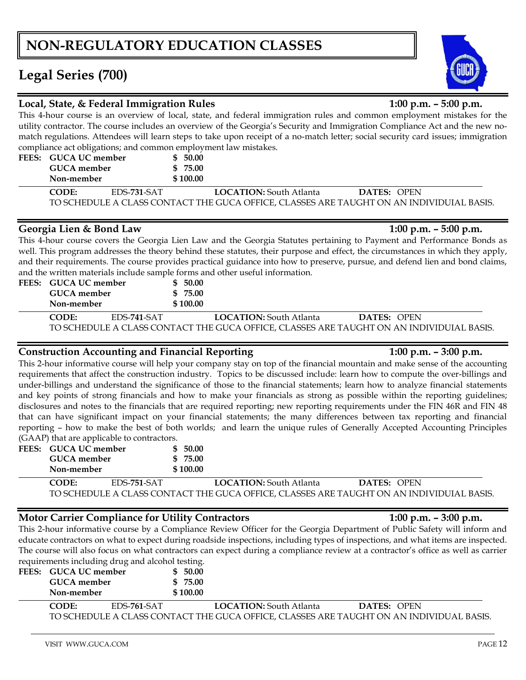# **NON-REGULATORY EDUCATION CLASSES**

# **Legal Series (700)**

## **Local, State, & Federal Immigration Rules 1:00 p.m. – 5:00 p.m.**

**FEES: GUCA UC member \$ 50.00**

This 4-hour course is an overview of local, state, and federal immigration rules and common employment mistakes for the utility contractor. The course includes an overview of the Georgia's Security and Immigration Compliance Act and the new nomatch regulations. Attendees will learn steps to take upon receipt of a no-match letter; social security card issues; immigration compliance act obligations; and common employment law mistakes.

| GUCA member<br>Non-member |             | \$ 75.00<br>\$100.00 |                                                                                          |             |  |
|---------------------------|-------------|----------------------|------------------------------------------------------------------------------------------|-------------|--|
| CODE:                     | EDS-731-SAT |                      | <b>LOCATION:</b> South Atlanta                                                           | DATES: OPEN |  |
|                           |             |                      | TO SCHEDULE A CLASS CONTACT THE GUCA OFFICE, CLASSES ARE TAUGHT ON AN INDIVIDUIAL BASIS. |             |  |

## **Georgia Lien & Bond Law 1:00 p.m. – 5:00 p.m.**

This 4-hour course covers the Georgia Lien Law and the Georgia Statutes pertaining to Payment and Performance Bonds as well. This program addresses the theory behind these statutes, their purpose and effect, the circumstances in which they apply, and their requirements. The course provides practical guidance into how to preserve, pursue, and defend lien and bond claims, and the written materials include sample forms and other useful information.

| FEES: GUCA UC member<br>GUCA member<br>Non-member |             | \$50.00<br>\$75.00<br>\$100.00 |                                                                                          |             |  |
|---------------------------------------------------|-------------|--------------------------------|------------------------------------------------------------------------------------------|-------------|--|
| CODE:                                             | EDS-741-SAT |                                | <b>LOCATION:</b> South Atlanta                                                           | DATES: OPEN |  |
|                                                   |             |                                | TO SCHEDULE A CLASS CONTACT THE GUCA OFFICE, CLASSES ARE TAUGHT ON AN INDIVIDUIAL BASIS. |             |  |

# **Construction Accounting and Financial Reporting 1:00 p.m. – 3:00 p.m.**

### This 2-hour informative course will help your company stay on top of the financial mountain and make sense of the accounting requirements that affect the construction industry. Topics to be discussed include: learn how to compute the over-billings and under-billings and understand the significance of those to the financial statements; learn how to analyze financial statements and key points of strong financials and how to make your financials as strong as possible within the reporting guidelines; disclosures and notes to the financials that are required reporting; new reporting requirements under the FIN 46R and FIN 48 that can have significant impact on your financial statements; the many differences between tax reporting and financial reporting – how to make the best of both worlds; and learn the unique rules of Generally Accepted Accounting Principles (GAAP) that are applicable to contractors.

| FEES: GUCA UC member | \$50.00  |
|----------------------|----------|
| GUCA member          | \$ 75.00 |
| Non-member           | \$100.00 |

**CODE:** EDS-**751**-SAT **LOCATION:** South Atlanta **DATES:** OPEN TO SCHEDULE A CLASS CONTACT THE GUCA OFFICE, CLASSES ARE TAUGHT ON AN INDIVIDUIAL BASIS.

# **Motor Carrier Compliance for Utility Contractors 1:00 p.m. – 3:00 p.m.**

This 2-hour informative course by a Compliance Review Officer for the Georgia Department of Public Safety will inform and educate contractors on what to expect during roadside inspections, including types of inspections, and what items are inspected. The course will also focus on what contractors can expect during a compliance review at a contractor's office as well as carrier requirements including drug and alcohol testing.

| FEES: GUCA UC member | \$ 50.00 |
|----------------------|----------|
| GUCA member          | \$ 75.00 |
| Non-member           | \$100.00 |

**CODE:** EDS-**761**-SAT **LOCATION:** South Atlanta **DATES:** OPEN TO SCHEDULE A CLASS CONTACT THE GUCA OFFICE, CLASSES ARE TAUGHT ON AN INDIVIDUAL BASIS.